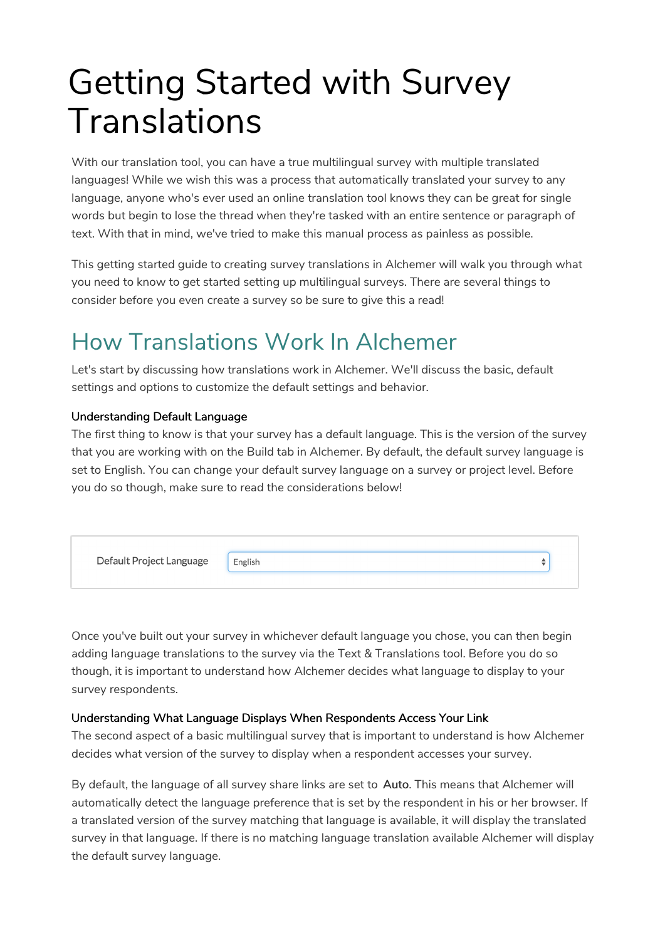# Getting Started with Survey Translations

With our translation tool, you can have a true multilingual survey with multiple translated languages! While we wish this was a process that automatically translated your survey to any language, anyone who's ever used an online translation tool knows they can be great for single words but begin to lose the thread when they're tasked with an entire sentence or paragraph of text. With that in mind, we've tried to make this manual process as painless as possible.

This getting started guide to creating survey translations in Alchemer will walk you through what you need to know to get started setting up multilingual surveys. There are several things to consider before you even create a survey so be sure to give this a read!

### How Translations Work In Alchemer

Let's start by discussing how translations work in Alchemer. We'll discuss the basic, default settings and options to customize the default settings and behavior.

### Understanding Default Language

The first thing to know is that your survey has a default language. This is the version of the survey that you are working with on the Build tab in Alchemer. By default, the default survey language is set to English. You can change your default survey language on a survey or project level. Before you do so though, make sure to read the considerations below!



Once you've built out your survey in whichever default language you chose, you can then begin adding language translations to the survey via the Text & Translations tool. Before you do so though, it is important to understand how Alchemer decides what language to display to your survey respondents.

### Understanding What Language Displays When Respondents Access Your Link

The second aspect of a basic multilingual survey that is important to understand is how Alchemer decides what version of the survey to display when a respondent accesses your survey.

By default, the language of all survey share links are set to Auto. This means that Alchemer will automatically detect the language preference that is set by the respondent in his or her browser. If a translated version of the survey matching that language is available, it will display the translated survey in that language. If there is no matching language translation available Alchemer will display the default survey language.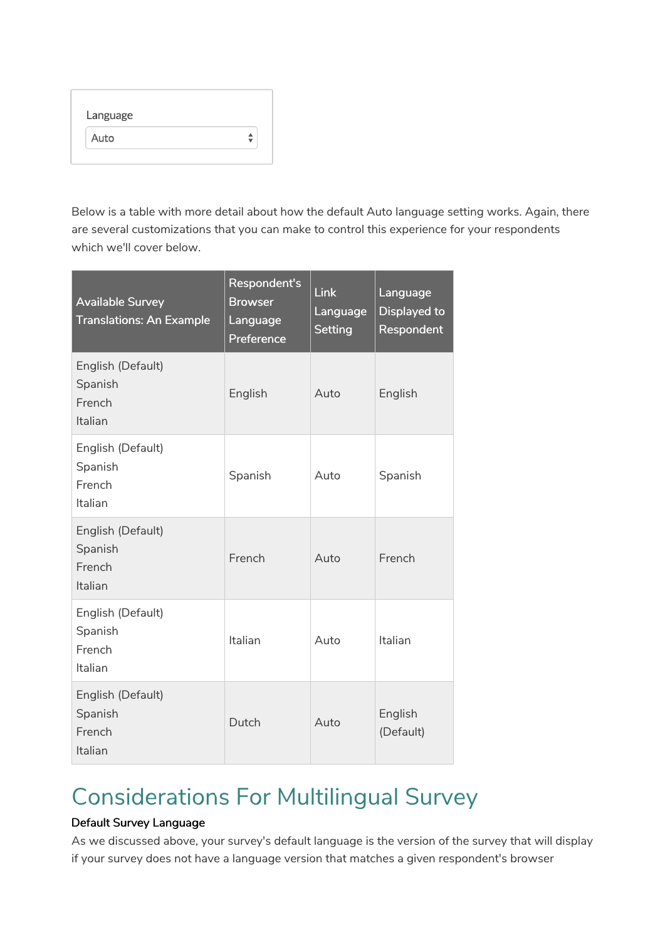| Language |  |
|----------|--|
| Auto     |  |

Below is a table with more detail about how the default Auto language setting works. Again, there are several customizations that you can make to control this experience for your respondents which we'll cover below.

| <b>Available Survey</b><br><b>Translations: An Example</b> | Respondent's<br><b>Browser</b><br>Language<br>Preference | <b>Link</b><br>Language<br><b>Setting</b> | Language<br>Displayed to<br>Respondent |
|------------------------------------------------------------|----------------------------------------------------------|-------------------------------------------|----------------------------------------|
| English (Default)<br>Spanish<br>French<br>Italian          | English                                                  | Auto                                      | English                                |
| English (Default)<br>Spanish<br>French<br>Italian          | Spanish                                                  | Auto                                      | Spanish                                |
| English (Default)<br>Spanish<br>French<br>Italian          | French                                                   | Auto                                      | French                                 |
| English (Default)<br>Spanish<br>French<br>Italian          | Italian                                                  | Auto                                      | Italian                                |
| English (Default)<br>Spanish<br>French<br>Italian          | Dutch                                                    | Auto                                      | English<br>(Default)                   |

### Considerations For Multilingual Survey

### Default Survey Language

As we discussed above, your survey's default language is the version of the survey that will display if your survey does not have a language version that matches a given respondent's browser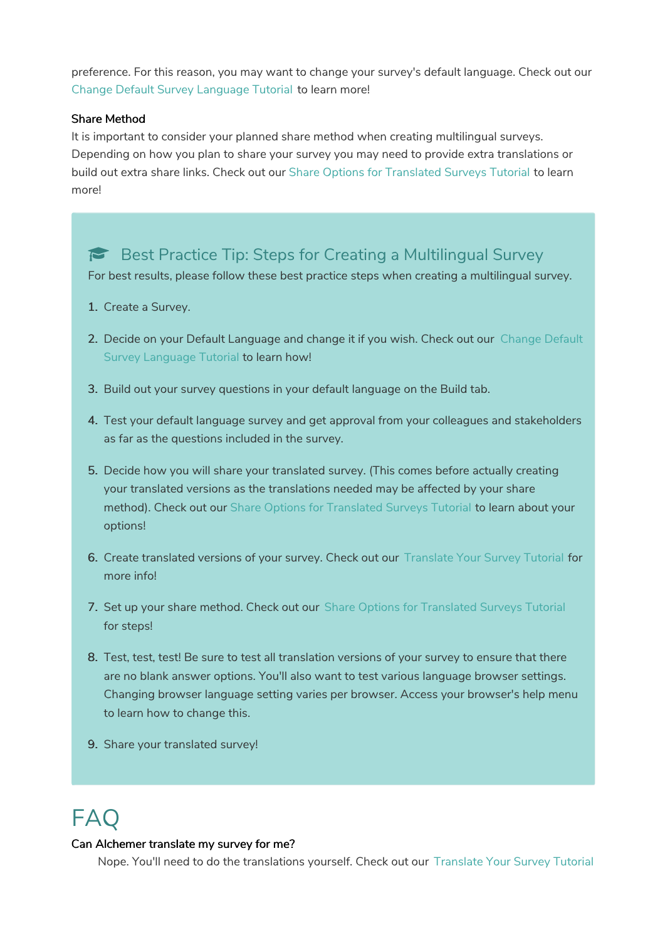preference. For this reason, you may want to change your survey's default language. Check out our Change Default Survey Language Tutorial to learn more!

#### Share Method

It is important to consider your planned share method when creating multilingual surveys. Depending on how you plan to share your survey you may need to provide extra translations or build out extra share links. Check out our Share Options for Translated Surveys Tutorial to learn more!

### Best Practice Tip: Steps for Creating a Multilingual Survey

For best results, please follow these best practice steps when creating a multilingual survey.

- 1. Create a Survey.
- 2. Decide on your Default Language and change it if you wish. Check out our Change Default Survey Language Tutorial to learn how!
- 3. Build out your survey questions in your default language on the Build tab.
- 4. Test your default language survey and get approval from your colleagues and stakeholders as far as the questions included in the survey.
- 5. Decide how you will share your translated survey. (This comes before actually creating your translated versions as the translations needed may be affected by your share method). Check out our Share Options for Translated Surveys Tutorial to learn about your options!
- 6. Create translated versions of your survey. Check out our Translate Your Survey Tutorial for more info!
- 7. Set up your share method. Check out our Share Options for Translated Surveys Tutorial for steps!
- 8. Test, test, test! Be sure to test all translation versions of your survey to ensure that there are no blank answer options. You'll also want to test various language browser settings. Changing browser language setting varies per browser. Access your browser's help menu to learn how to change this.
- 9. Share your translated survey!

# FAQ

#### Can Alchemer translate my survey for me?

Nope. You'll need to do the translations yourself. Check out our Translate Your Survey Tutorial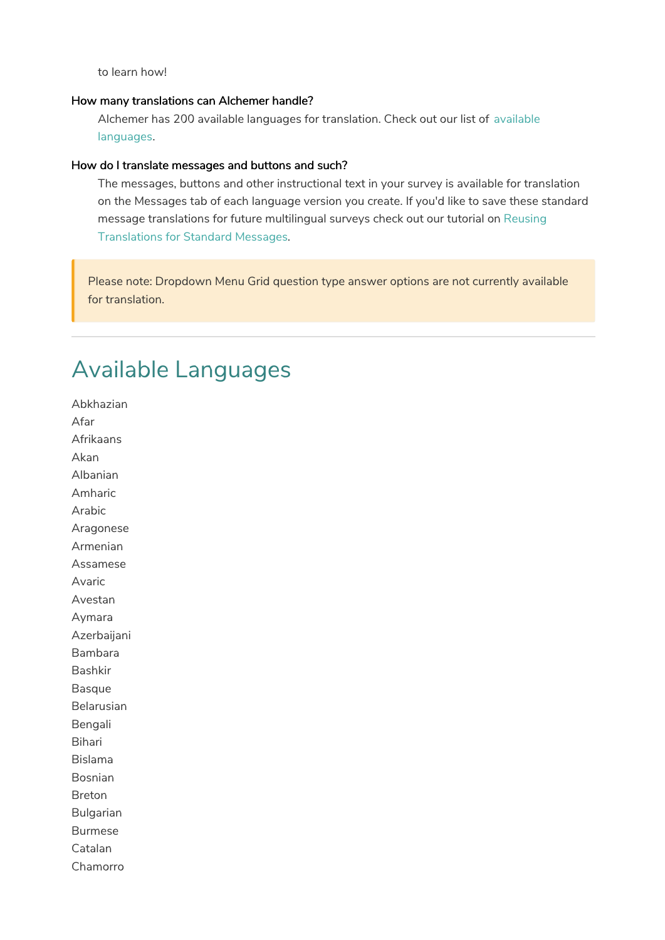to learn how!

#### How many translations can Alchemer handle?

Alchemer has 200 available languages for translation. Check out our list of available languages.

#### How do I translate messages and buttons and such?

The messages, buttons and other instructional text in your survey is available for translation on the Messages tab of each language version you create. If you'd like to save these standard message translations for future multilingual surveys check out our tutorial on Reusing Translations for Standard Messages.

Please note: Dropdown Menu Grid question type answer options are not currently available for translation.

### Available Languages

Abkhazian Afar Afrikaans Akan Albanian Amharic Arabic Aragonese Armenian Assamese Avaric Avestan Aymara Azerbaijani Bambara Bashkir Basque Belarusian Bengali Bihari Bislama Bosnian Breton Bulgarian Burmese Catalan Chamorro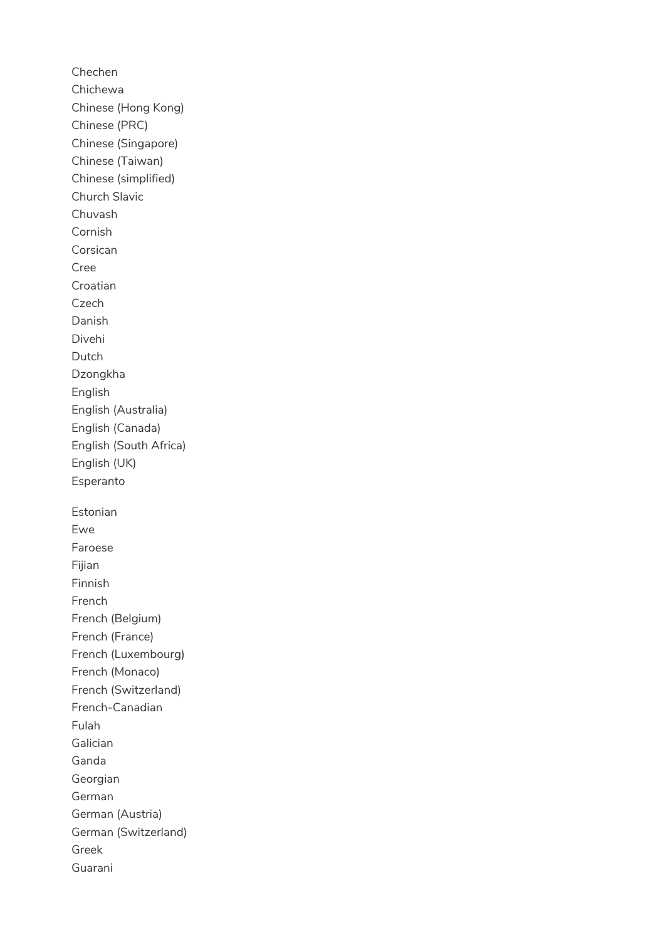Chechen Chichewa Chinese (Hong Kong) Chinese (PRC) Chinese (Singapore) Chinese (Taiwan) Chinese (simplified) Church Slavic Chuvash Cornish Corsican Cree Croatian Czech Danish Divehi Dutch Dzongkha English English (Australia) English (Canada) English (South Africa) English (UK) Esperanto Estonian Ewe Faroese Fijian Finnish French French (Belgium) French (France) French (Luxembourg) French (Monaco) French (Switzerland) French-Canadian Fulah Galician Ganda Georgian German German (Austria) German (Switzerland) Greek Guarani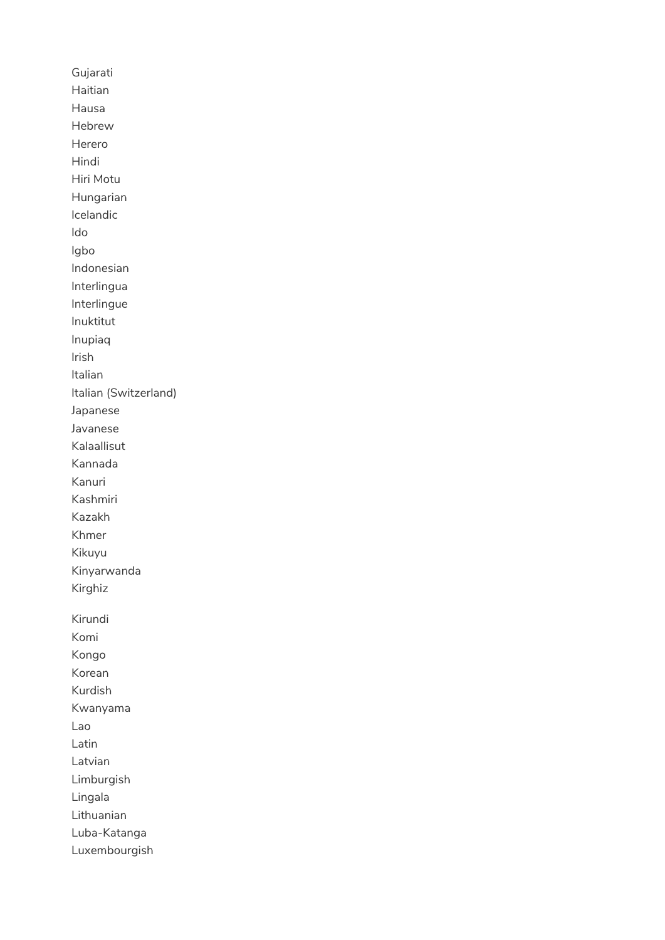Gujarati Haitian Hausa Hebrew Herero Hindi Hiri Motu Hungarian Icelandic Ido Igbo Indonesian Interlingua Interlingue Inuktitut Inupiaq Irish Italian Italian (Switzerland) Japanese Javanese Kalaallisut Kannada Kanuri Kashmiri Kazakh Khmer Kikuyu Kinyarwanda Kirghiz Kirundi Komi Kongo Korean Kurdish Kwanyama Lao Latin Latvian Limburgish Lingala Lithuanian Luba-Katanga Luxembourgish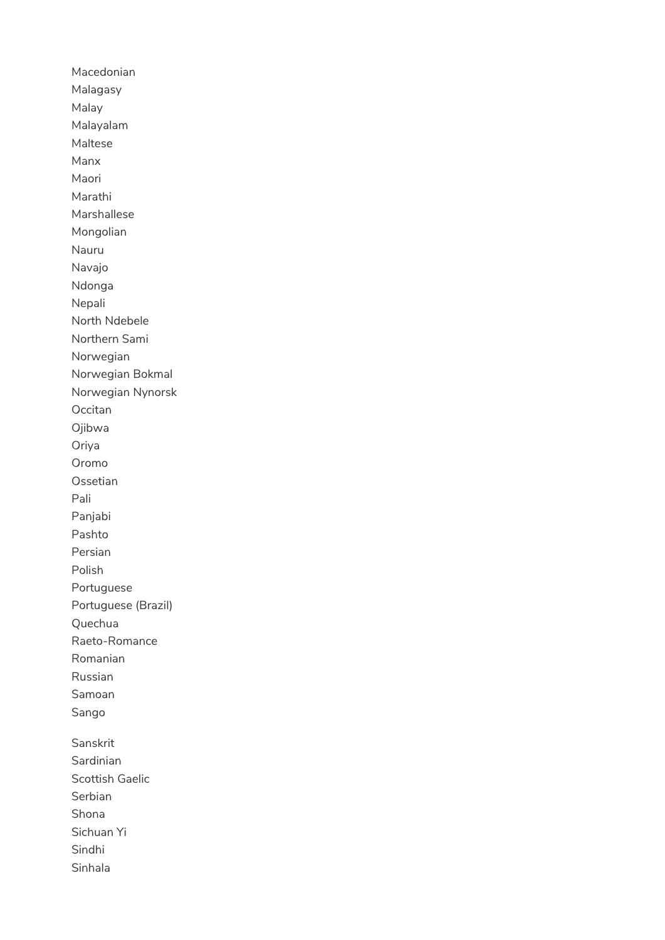Macedonian Malagasy Malay Malayalam Maltese Manx Maori Marathi Marshallese Mongolian Nauru Navajo Ndonga Nepali North Ndebele Northern Sami Norwegian Norwegian Bokmal Norwegian Nynorsk Occitan Ojibwa Oriya Oromo Ossetian Pali Panjabi Pashto Persian Polish Portuguese Portuguese (Brazil) Quechua Raeto-Romance Romanian Russian Samoan Sango Sanskrit Sardinian Scottish Gaelic Serbian Shona Sichuan Yi Sindhi Sinhala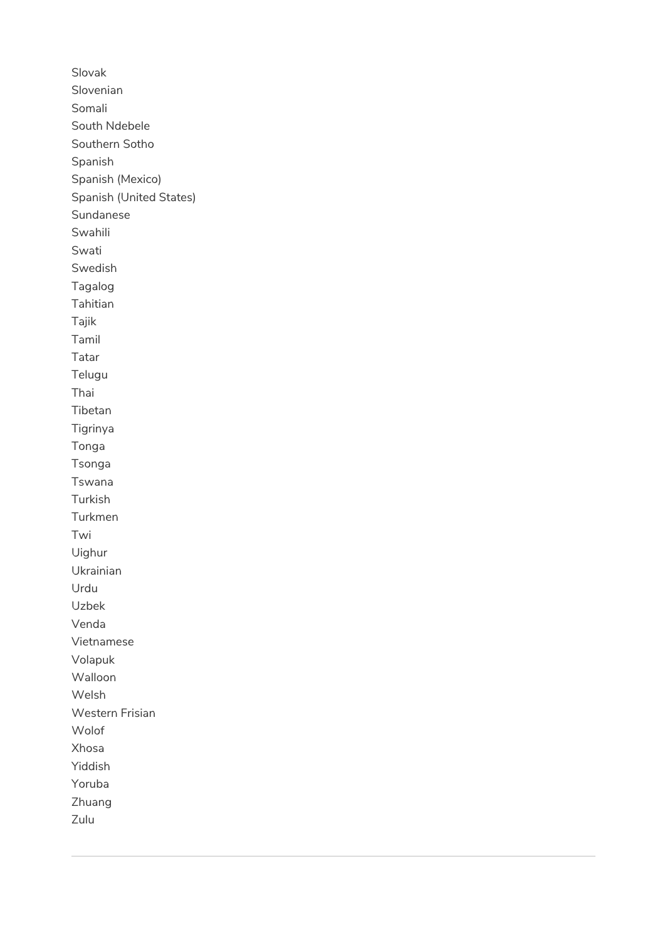Slovak Slovenian Somali South Ndebele Southern Sotho Spanish Spanish (Mexico) Spanish (United States) Sundanese Swahili Swati Swedish Tagalog Tahitian Tajik Tamil Tatar Telugu Thai Tibetan Tigrinya Tonga Tsonga Tswana Turkish Turkmen Twi Uighur Ukrainian Urdu Uzbek Venda Vietnamese Volapuk Walloon Welsh Western Frisian Wolof Xhosa Yiddish Yoruba Zhuang Zulu